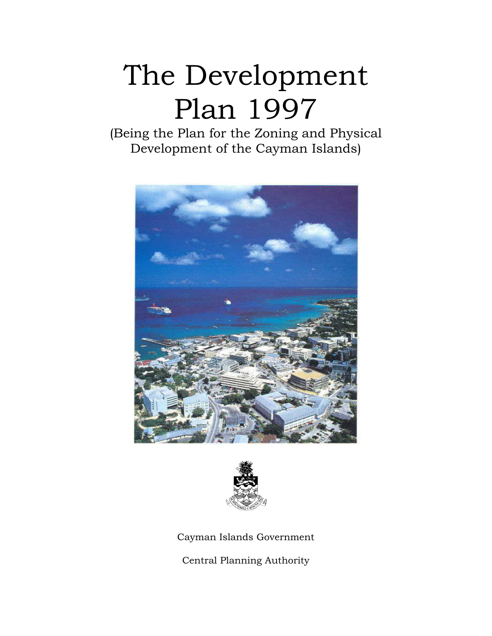# The Development Plan 1997

(Being the Plan for the Zoning and Physical Development of the Cayman Islands)





Cayman Islands Government

Central Planning Authority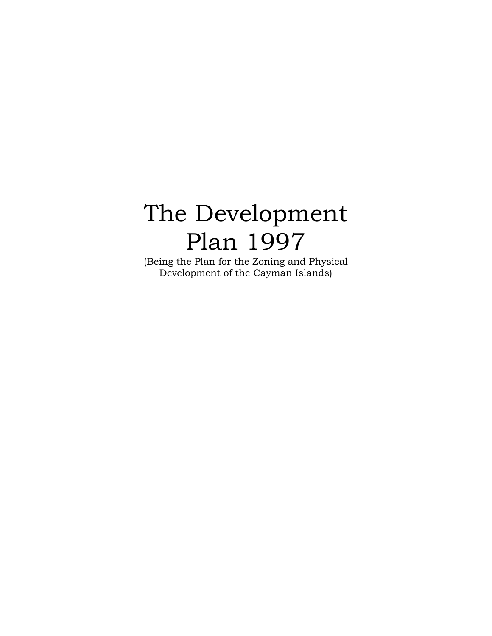# The Development Plan 1997

(Being the Plan for the Zoning and Physical Development of the Cayman Islands)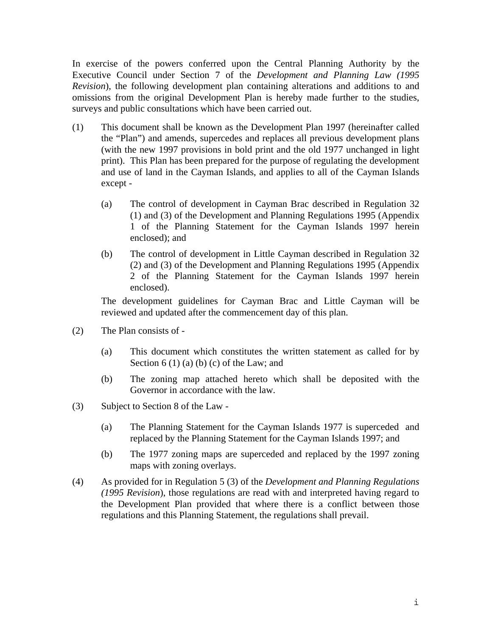In exercise of the powers conferred upon the Central Planning Authority by the Executive Council under Section 7 of the *Development and Planning Law (1995 Revision*), the following development plan containing alterations and additions to and omissions from the original Development Plan is hereby made further to the studies, surveys and public consultations which have been carried out.

- (1) This document shall be known as the Development Plan 1997 (hereinafter called the "Plan") and amends, supercedes and replaces all previous development plans (with the new 1997 provisions in bold print and the old 1977 unchanged in light print). This Plan has been prepared for the purpose of regulating the development and use of land in the Cayman Islands, and applies to all of the Cayman Islands except -
	- (a) The control of development in Cayman Brac described in Regulation 32 (1) and (3) of the Development and Planning Regulations 1995 (Appendix 1 of the Planning Statement for the Cayman Islands 1997 herein enclosed); and
	- (b) The control of development in Little Cayman described in Regulation 32 (2) and (3) of the Development and Planning Regulations 1995 (Appendix 2 of the Planning Statement for the Cayman Islands 1997 herein enclosed).

The development guidelines for Cayman Brac and Little Cayman will be reviewed and updated after the commencement day of this plan.

- (2) The Plan consists of
	- (a) This document which constitutes the written statement as called for by Section  $6(1)(a)(b)(c)$  of the Law; and
	- (b) The zoning map attached hereto which shall be deposited with the Governor in accordance with the law.
- (3) Subject to Section 8 of the Law
	- (a) The Planning Statement for the Cayman Islands 1977 is superceded and replaced by the Planning Statement for the Cayman Islands 1997; and
	- (b) The 1977 zoning maps are superceded and replaced by the 1997 zoning maps with zoning overlays.
- (4) As provided for in Regulation 5 (3) of the *Development and Planning Regulations (1995 Revision*), those regulations are read with and interpreted having regard to the Development Plan provided that where there is a conflict between those regulations and this Planning Statement, the regulations shall prevail.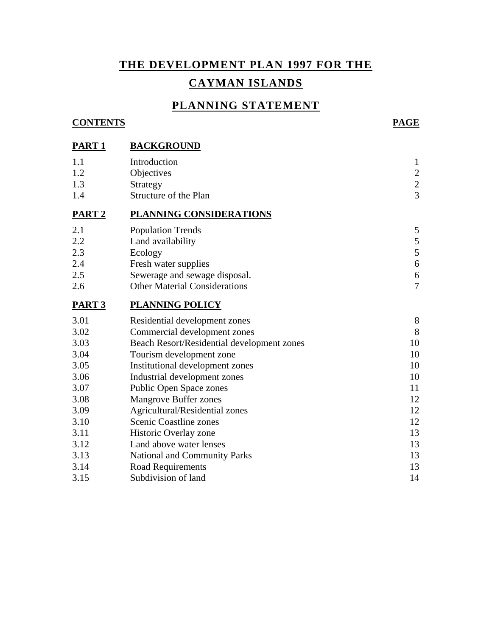# **THE DEVELOPMENT PLAN 1997 FOR THE CAYMAN ISLANDS**

#### **PLANNING STATEMENT**

#### **CONTENTS PAGE**

**PART 1 BACKGROUND**

| 1.1<br>1.2<br>1.3<br>1.4 | Introduction<br>Objectives<br>Strategy<br>Structure of the Plan | $\mathbf{1}$<br>$\overline{c}$<br>$\frac{2}{3}$ |
|--------------------------|-----------------------------------------------------------------|-------------------------------------------------|
| PART <sub>2</sub>        | PLANNING CONSIDERATIONS                                         |                                                 |
| 2.1                      | <b>Population Trends</b>                                        | 5                                               |
| 2.2                      | Land availability                                               | 5                                               |
| 2.3                      | Ecology                                                         | 5                                               |
| 2.4                      | Fresh water supplies                                            | $\boldsymbol{6}$                                |
| 2.5                      | Sewerage and sewage disposal.                                   | $\boldsymbol{6}$                                |
| 2.6                      | <b>Other Material Considerations</b>                            | $\overline{7}$                                  |
| PART <sub>3</sub>        | <b>PLANNING POLICY</b>                                          |                                                 |
| 3.01                     | Residential development zones                                   | 8                                               |
| 3.02                     | Commercial development zones                                    | 8                                               |
| 3.03                     | Beach Resort/Residential development zones                      | 10                                              |
| 3.04                     | Tourism development zone                                        | 10                                              |
| 3.05                     | Institutional development zones                                 | 10                                              |
| 3.06                     | Industrial development zones                                    | 10                                              |
| 3.07                     | Public Open Space zones                                         | 11                                              |
| 3.08                     | <b>Mangrove Buffer zones</b>                                    | 12                                              |
| 3.09                     | Agricultural/Residential zones                                  | 12                                              |
| 3.10                     | Scenic Coastline zones                                          | 12                                              |
| 3.11                     | Historic Overlay zone                                           | 13                                              |
| 3.12                     | Land above water lenses                                         | 13                                              |
| 3.13                     | <b>National and Community Parks</b>                             | 13                                              |
| 3.14                     | Road Requirements                                               | 13                                              |
| 3.15                     | Subdivision of land                                             | 14                                              |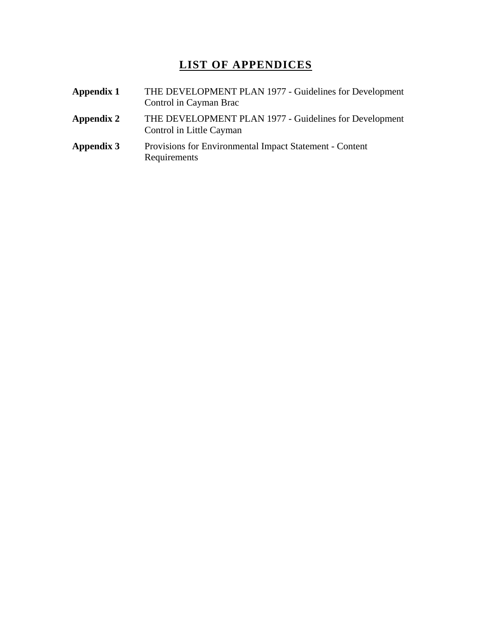### **LIST OF APPENDICES**

| Appendix 1 | THE DEVELOPMENT PLAN 1977 - Guidelines for Development<br>Control in Cayman Brac   |  |
|------------|------------------------------------------------------------------------------------|--|
| Appendix 2 | THE DEVELOPMENT PLAN 1977 - Guidelines for Development<br>Control in Little Cayman |  |
| Appendix 3 | Provisions for Environmental Impact Statement - Content<br>Requirements            |  |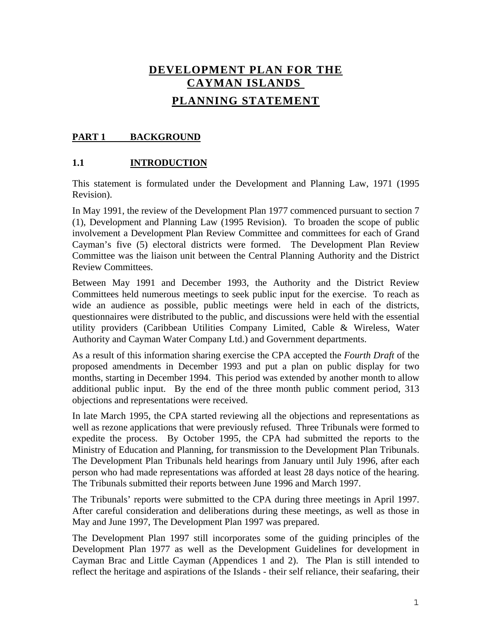# **DEVELOPMENT PLAN FOR THE CAYMAN ISLANDS PLANNING STATEMENT**

#### PART 1 BACKGROUND

#### **1.1 INTRODUCTION**

This statement is formulated under the Development and Planning Law, 1971 (1995 Revision).

In May 1991, the review of the Development Plan 1977 commenced pursuant to section 7 (1), Development and Planning Law (1995 Revision). To broaden the scope of public involvement a Development Plan Review Committee and committees for each of Grand Cayman's five (5) electoral districts were formed. The Development Plan Review Committee was the liaison unit between the Central Planning Authority and the District Review Committees.

Between May 1991 and December 1993, the Authority and the District Review Committees held numerous meetings to seek public input for the exercise. To reach as wide an audience as possible, public meetings were held in each of the districts, questionnaires were distributed to the public, and discussions were held with the essential utility providers (Caribbean Utilities Company Limited, Cable & Wireless, Water Authority and Cayman Water Company Ltd.) and Government departments.

As a result of this information sharing exercise the CPA accepted the *Fourth Draft* of the proposed amendments in December 1993 and put a plan on public display for two months, starting in December 1994. This period was extended by another month to allow additional public input. By the end of the three month public comment period, 313 objections and representations were received.

In late March 1995, the CPA started reviewing all the objections and representations as well as rezone applications that were previously refused. Three Tribunals were formed to expedite the process. By October 1995, the CPA had submitted the reports to the Ministry of Education and Planning, for transmission to the Development Plan Tribunals. The Development Plan Tribunals held hearings from January until July 1996, after each person who had made representations was afforded at least 28 days notice of the hearing. The Tribunals submitted their reports between June 1996 and March 1997.

The Tribunals' reports were submitted to the CPA during three meetings in April 1997. After careful consideration and deliberations during these meetings, as well as those in May and June 1997, The Development Plan 1997 was prepared.

The Development Plan 1997 still incorporates some of the guiding principles of the Development Plan 1977 as well as the Development Guidelines for development in Cayman Brac and Little Cayman (Appendices 1 and 2). The Plan is still intended to reflect the heritage and aspirations of the Islands - their self reliance, their seafaring, their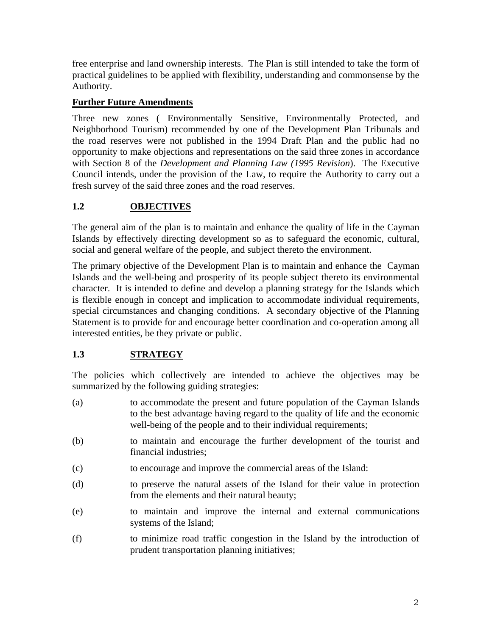free enterprise and land ownership interests. The Plan is still intended to take the form of practical guidelines to be applied with flexibility, understanding and commonsense by the Authority.

#### **Further Future Amendments**

Three new zones ( Environmentally Sensitive, Environmentally Protected, and Neighborhood Tourism) recommended by one of the Development Plan Tribunals and the road reserves were not published in the 1994 Draft Plan and the public had no opportunity to make objections and representations on the said three zones in accordance with Section 8 of the *Development and Planning Law (1995 Revision*). The Executive Council intends, under the provision of the Law, to require the Authority to carry out a fresh survey of the said three zones and the road reserves.

#### **1.2 OBJECTIVES**

The general aim of the plan is to maintain and enhance the quality of life in the Cayman Islands by effectively directing development so as to safeguard the economic, cultural, social and general welfare of the people, and subject thereto the environment.

The primary objective of the Development Plan is to maintain and enhance the Cayman Islands and the well-being and prosperity of its people subject thereto its environmental character. It is intended to define and develop a planning strategy for the Islands which is flexible enough in concept and implication to accommodate individual requirements, special circumstances and changing conditions. A secondary objective of the Planning Statement is to provide for and encourage better coordination and co-operation among all interested entities, be they private or public.

#### **1.3 STRATEGY**

The policies which collectively are intended to achieve the objectives may be summarized by the following guiding strategies:

- (a) to accommodate the present and future population of the Cayman Islands to the best advantage having regard to the quality of life and the economic well-being of the people and to their individual requirements;
- (b) to maintain and encourage the further development of the tourist and financial industries;
- (c) to encourage and improve the commercial areas of the Island:
- (d) to preserve the natural assets of the Island for their value in protection from the elements and their natural beauty;
- (e) to maintain and improve the internal and external communications systems of the Island;
- (f) to minimize road traffic congestion in the Island by the introduction of prudent transportation planning initiatives;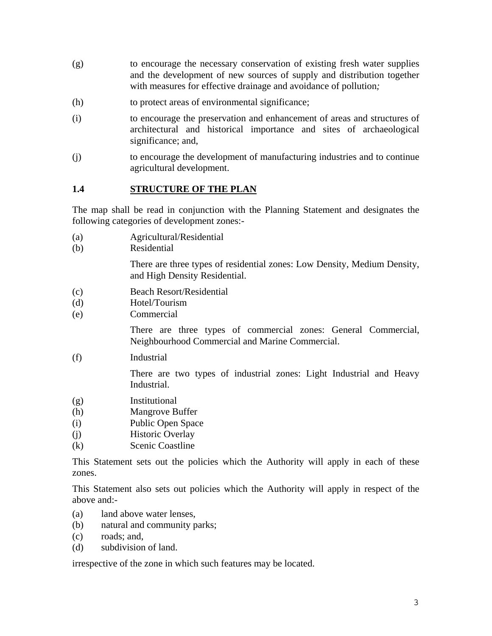- (g) to encourage the necessary conservation of existing fresh water supplies and the development of new sources of supply and distribution together with measures for effective drainage and avoidance of pollution*;*
- (h) to protect areas of environmental significance;
- (i) to encourage the preservation and enhancement of areas and structures of architectural and historical importance and sites of archaeological significance; and,
- (j) to encourage the development of manufacturing industries and to continue agricultural development.

#### **1.4 STRUCTURE OF THE PLAN**

The map shall be read in conjunction with the Planning Statement and designates the following categories of development zones:-

- (a) Agricultural/Residential
- (b) Residential

There are three types of residential zones: Low Density, Medium Density, and High Density Residential.

- (c) Beach Resort/Residential
- (d) Hotel/Tourism
- (e) Commercial

There are three types of commercial zones: General Commercial, Neighbourhood Commercial and Marine Commercial.

(f) Industrial

There are two types of industrial zones: Light Industrial and Heavy Industrial.

- (g) Institutional
- (h) Mangrove Buffer
- (i) Public Open Space
- (j) Historic Overlay
- (k) Scenic Coastline

This Statement sets out the policies which the Authority will apply in each of these zones.

This Statement also sets out policies which the Authority will apply in respect of the above and:-

- (a) land above water lenses,
- (b) natural and community parks;
- (c) roads; and,
- (d) subdivision of land.

irrespective of the zone in which such features may be located.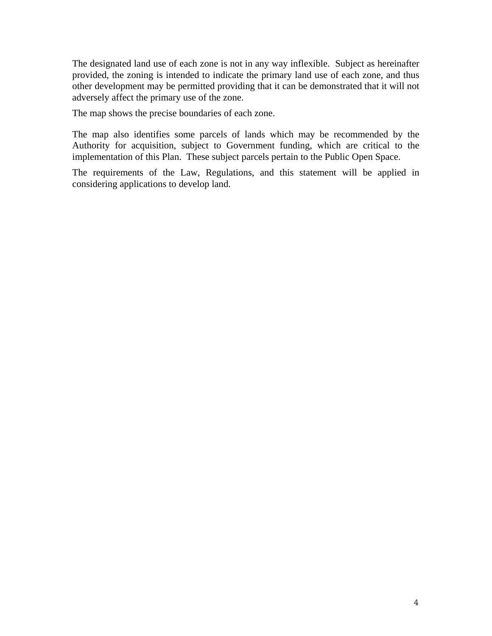The designated land use of each zone is not in any way inflexible. Subject as hereinafter provided, the zoning is intended to indicate the primary land use of each zone, and thus other development may be permitted providing that it can be demonstrated that it will not adversely affect the primary use of the zone.

The map shows the precise boundaries of each zone.

The map also identifies some parcels of lands which may be recommended by the Authority for acquisition, subject to Government funding, which are critical to the implementation of this Plan. These subject parcels pertain to the Public Open Space.

The requirements of the Law, Regulations, and this statement will be applied in considering applications to develop land.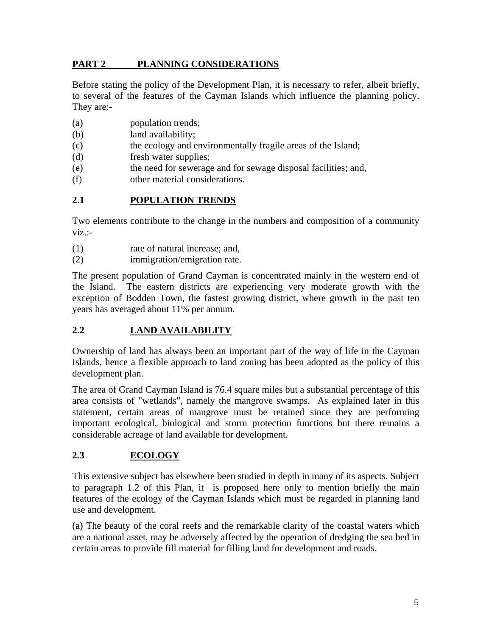#### **PART 2 PLANNING CONSIDERATIONS**

Before stating the policy of the Development Plan, it is necessary to refer, albeit briefly, to several of the features of the Cayman Islands which influence the planning policy. They are:-

- (a) population trends;
- (b) land availability;
- (c) the ecology and environmentally fragile areas of the Island;
- (d) fresh water supplies;
- (e) the need for sewerage and for sewage disposal facilities; and,
- (f) other material considerations.

#### **2.1 POPULATION TRENDS**

Two elements contribute to the change in the numbers and composition of a community viz.:-

- (1) rate of natural increase; and,
- (2) immigration/emigration rate.

The present population of Grand Cayman is concentrated mainly in the western end of the Island. The eastern districts are experiencing very moderate growth with the exception of Bodden Town, the fastest growing district, where growth in the past ten years has averaged about 11% per annum.

#### **2.2 LAND AVAILABILITY**

Ownership of land has always been an important part of the way of life in the Cayman Islands, hence a flexible approach to land zoning has been adopted as the policy of this development plan.

The area of Grand Cayman Island is 76.4 square miles but a substantial percentage of this area consists of "wetlands", namely the mangrove swamps. As explained later in this statement, certain areas of mangrove must be retained since they are performing important ecological, biological and storm protection functions but there remains a considerable acreage of land available for development.

#### **2.3 ECOLOGY**

This extensive subject has elsewhere been studied in depth in many of its aspects. Subject to paragraph 1.2 of this Plan, it is proposed here only to mention briefly the main features of the ecology of the Cayman Islands which must be regarded in planning land use and development.

(a) The beauty of the coral reefs and the remarkable clarity of the coastal waters which are a national asset, may be adversely affected by the operation of dredging the sea bed in certain areas to provide fill material for filling land for development and roads.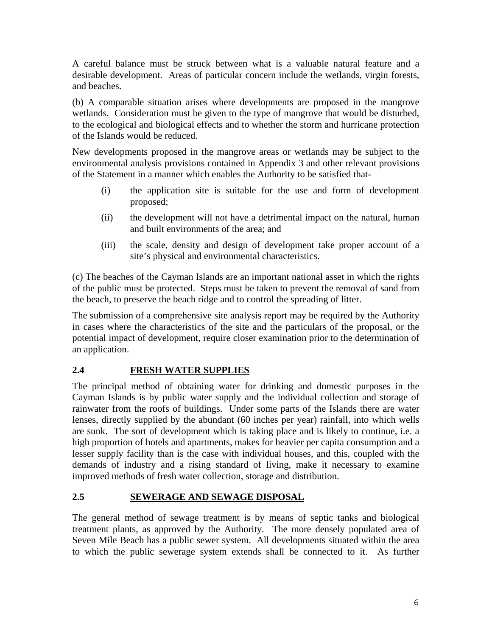A careful balance must be struck between what is a valuable natural feature and a desirable development. Areas of particular concern include the wetlands, virgin forests, and beaches.

(b) A comparable situation arises where developments are proposed in the mangrove wetlands. Consideration must be given to the type of mangrove that would be disturbed, to the ecological and biological effects and to whether the storm and hurricane protection of the Islands would be reduced.

New developments proposed in the mangrove areas or wetlands may be subject to the environmental analysis provisions contained in Appendix 3 and other relevant provisions of the Statement in a manner which enables the Authority to be satisfied that-

- (i) the application site is suitable for the use and form of development proposed;
- (ii) the development will not have a detrimental impact on the natural, human and built environments of the area; and
- (iii) the scale, density and design of development take proper account of a site's physical and environmental characteristics.

(c) The beaches of the Cayman Islands are an important national asset in which the rights of the public must be protected. Steps must be taken to prevent the removal of sand from the beach, to preserve the beach ridge and to control the spreading of litter.

The submission of a comprehensive site analysis report may be required by the Authority in cases where the characteristics of the site and the particulars of the proposal, or the potential impact of development, require closer examination prior to the determination of an application.

#### **2.4 FRESH WATER SUPPLIES**

The principal method of obtaining water for drinking and domestic purposes in the Cayman Islands is by public water supply and the individual collection and storage of rainwater from the roofs of buildings. Under some parts of the Islands there are water lenses, directly supplied by the abundant (60 inches per year) rainfall, into which wells are sunk. The sort of development which is taking place and is likely to continue, i.e. a high proportion of hotels and apartments, makes for heavier per capita consumption and a lesser supply facility than is the case with individual houses, and this, coupled with the demands of industry and a rising standard of living, make it necessary to examine improved methods of fresh water collection, storage and distribution.

#### **2.5 SEWERAGE AND SEWAGE DISPOSAL**

The general method of sewage treatment is by means of septic tanks and biological treatment plants, as approved by the Authority. The more densely populated area of Seven Mile Beach has a public sewer system. All developments situated within the area to which the public sewerage system extends shall be connected to it. As further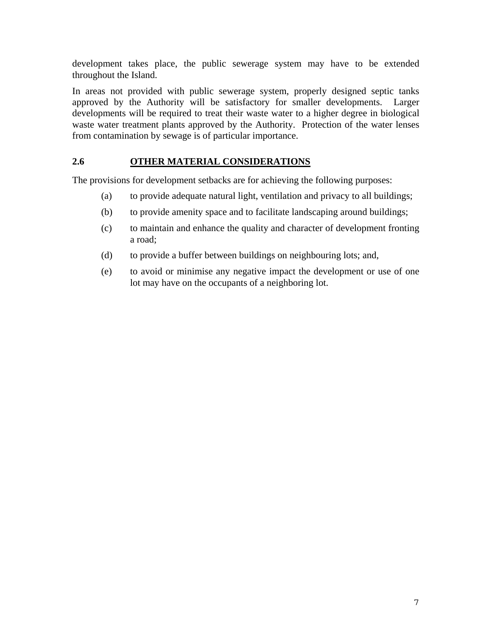development takes place, the public sewerage system may have to be extended throughout the Island.

In areas not provided with public sewerage system, properly designed septic tanks approved by the Authority will be satisfactory for smaller developments. Larger developments will be required to treat their waste water to a higher degree in biological waste water treatment plants approved by the Authority. Protection of the water lenses from contamination by sewage is of particular importance.

#### **2.6 OTHER MATERIAL CONSIDERATIONS**

The provisions for development setbacks are for achieving the following purposes:

- (a) to provide adequate natural light, ventilation and privacy to all buildings;
- (b) to provide amenity space and to facilitate landscaping around buildings;
- (c) to maintain and enhance the quality and character of development fronting a road;
- (d) to provide a buffer between buildings on neighbouring lots; and,
- (e) to avoid or minimise any negative impact the development or use of one lot may have on the occupants of a neighboring lot.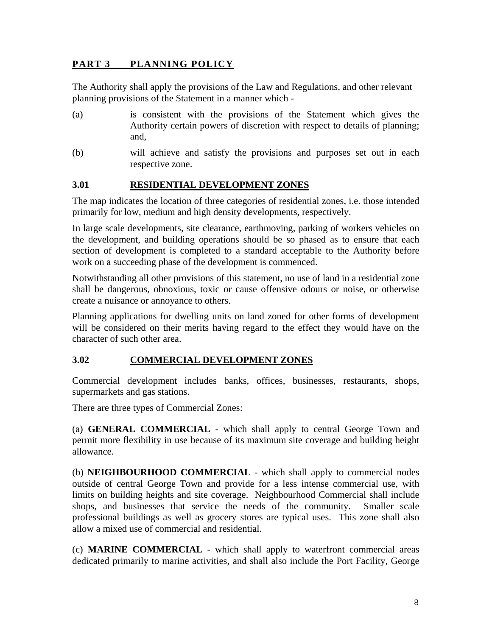#### **PART 3 PLANNING POLICY**

The Authority shall apply the provisions of the Law and Regulations, and other relevant planning provisions of the Statement in a manner which -

- (a) is consistent with the provisions of the Statement which gives the Authority certain powers of discretion with respect to details of planning; and,
- (b) will achieve and satisfy the provisions and purposes set out in each respective zone.

#### **3.01 RESIDENTIAL DEVELOPMENT ZONES**

The map indicates the location of three categories of residential zones, i.e. those intended primarily for low, medium and high density developments, respectively.

In large scale developments, site clearance, earthmoving, parking of workers vehicles on the development, and building operations should be so phased as to ensure that each section of development is completed to a standard acceptable to the Authority before work on a succeeding phase of the development is commenced.

Notwithstanding all other provisions of this statement, no use of land in a residential zone shall be dangerous, obnoxious, toxic or cause offensive odours or noise, or otherwise create a nuisance or annoyance to others.

Planning applications for dwelling units on land zoned for other forms of development will be considered on their merits having regard to the effect they would have on the character of such other area.

#### **3.02 COMMERCIAL DEVELOPMENT ZONES**

Commercial development includes banks, offices, businesses, restaurants, shops, supermarkets and gas stations.

There are three types of Commercial Zones:

(a) **GENERAL COMMERCIAL** - which shall apply to central George Town and permit more flexibility in use because of its maximum site coverage and building height allowance.

(b) **NEIGHBOURHOOD COMMERCIAL** - which shall apply to commercial nodes outside of central George Town and provide for a less intense commercial use, with limits on building heights and site coverage. Neighbourhood Commercial shall include shops, and businesses that service the needs of the community. Smaller scale professional buildings as well as grocery stores are typical uses. This zone shall also allow a mixed use of commercial and residential.

(c) **MARINE COMMERCIAL** - which shall apply to waterfront commercial areas dedicated primarily to marine activities, and shall also include the Port Facility, George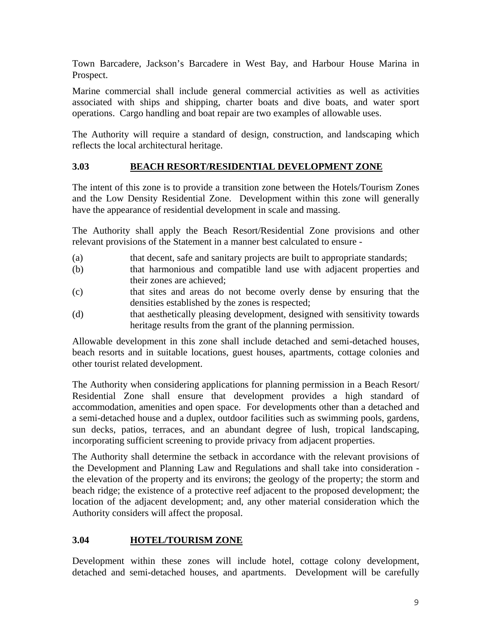Town Barcadere, Jackson's Barcadere in West Bay, and Harbour House Marina in Prospect.

Marine commercial shall include general commercial activities as well as activities associated with ships and shipping, charter boats and dive boats, and water sport operations. Cargo handling and boat repair are two examples of allowable uses.

The Authority will require a standard of design, construction, and landscaping which reflects the local architectural heritage.

#### **3.03 BEACH RESORT/RESIDENTIAL DEVELOPMENT ZONE**

The intent of this zone is to provide a transition zone between the Hotels/Tourism Zones and the Low Density Residential Zone. Development within this zone will generally have the appearance of residential development in scale and massing.

The Authority shall apply the Beach Resort/Residential Zone provisions and other relevant provisions of the Statement in a manner best calculated to ensure -

- (a) that decent, safe and sanitary projects are built to appropriate standards;
- (b) that harmonious and compatible land use with adjacent properties and their zones are achieved;
- (c) that sites and areas do not become overly dense by ensuring that the densities established by the zones is respected;
- (d) that aesthetically pleasing development, designed with sensitivity towards heritage results from the grant of the planning permission.

Allowable development in this zone shall include detached and semi-detached houses, beach resorts and in suitable locations, guest houses, apartments, cottage colonies and other tourist related development.

The Authority when considering applications for planning permission in a Beach Resort/ Residential Zone shall ensure that development provides a high standard of accommodation, amenities and open space. For developments other than a detached and a semi-detached house and a duplex, outdoor facilities such as swimming pools, gardens, sun decks, patios, terraces, and an abundant degree of lush, tropical landscaping, incorporating sufficient screening to provide privacy from adjacent properties.

The Authority shall determine the setback in accordance with the relevant provisions of the Development and Planning Law and Regulations and shall take into consideration the elevation of the property and its environs; the geology of the property; the storm and beach ridge; the existence of a protective reef adjacent to the proposed development; the location of the adjacent development; and, any other material consideration which the Authority considers will affect the proposal.

#### **3.04 HOTEL/TOURISM ZONE**

Development within these zones will include hotel, cottage colony development, detached and semi-detached houses, and apartments. Development will be carefully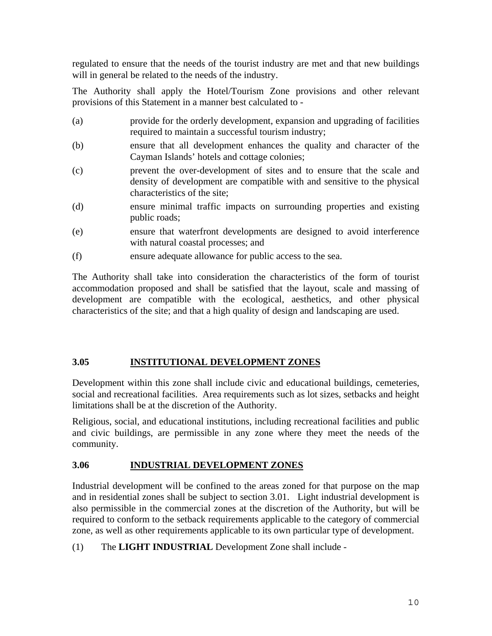regulated to ensure that the needs of the tourist industry are met and that new buildings will in general be related to the needs of the industry.

The Authority shall apply the Hotel/Tourism Zone provisions and other relevant provisions of this Statement in a manner best calculated to -

- (a) provide for the orderly development, expansion and upgrading of facilities required to maintain a successful tourism industry;
- (b) ensure that all development enhances the quality and character of the Cayman Islands' hotels and cottage colonies;
- (c) prevent the over-development of sites and to ensure that the scale and density of development are compatible with and sensitive to the physical characteristics of the site;
- (d) ensure minimal traffic impacts on surrounding properties and existing public roads;
- (e) ensure that waterfront developments are designed to avoid interference with natural coastal processes; and
- (f) ensure adequate allowance for public access to the sea.

The Authority shall take into consideration the characteristics of the form of tourist accommodation proposed and shall be satisfied that the layout, scale and massing of development are compatible with the ecological, aesthetics, and other physical characteristics of the site; and that a high quality of design and landscaping are used.

#### **3.05 INSTITUTIONAL DEVELOPMENT ZONES**

Development within this zone shall include civic and educational buildings, cemeteries, social and recreational facilities. Area requirements such as lot sizes, setbacks and height limitations shall be at the discretion of the Authority.

Religious, social, and educational institutions, including recreational facilities and public and civic buildings, are permissible in any zone where they meet the needs of the community.

#### **3.06 INDUSTRIAL DEVELOPMENT ZONES**

Industrial development will be confined to the areas zoned for that purpose on the map and in residential zones shall be subject to section 3.01. Light industrial development is also permissible in the commercial zones at the discretion of the Authority, but will be required to conform to the setback requirements applicable to the category of commercial zone, as well as other requirements applicable to its own particular type of development.

(1) The **LIGHT INDUSTRIAL** Development Zone shall include -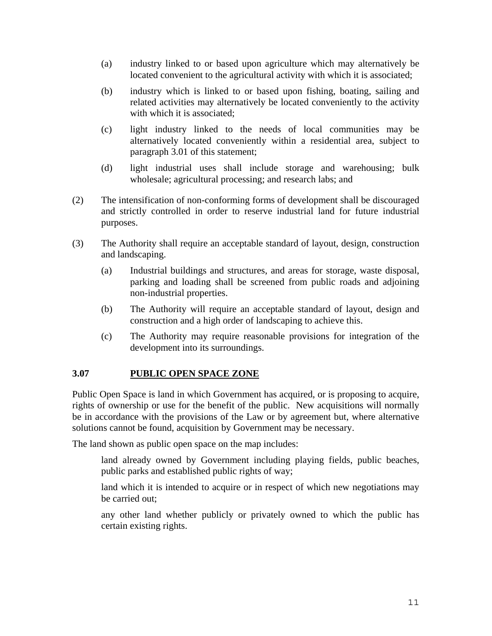- (a) industry linked to or based upon agriculture which may alternatively be located convenient to the agricultural activity with which it is associated;
- (b) industry which is linked to or based upon fishing, boating, sailing and related activities may alternatively be located conveniently to the activity with which it is associated;
- (c) light industry linked to the needs of local communities may be alternatively located conveniently within a residential area, subject to paragraph 3.01 of this statement;
- (d) light industrial uses shall include storage and warehousing; bulk wholesale; agricultural processing; and research labs; and
- (2) The intensification of non-conforming forms of development shall be discouraged and strictly controlled in order to reserve industrial land for future industrial purposes.
- (3) The Authority shall require an acceptable standard of layout, design, construction and landscaping.
	- (a) Industrial buildings and structures, and areas for storage, waste disposal, parking and loading shall be screened from public roads and adjoining non-industrial properties.
	- (b) The Authority will require an acceptable standard of layout, design and construction and a high order of landscaping to achieve this.
	- (c) The Authority may require reasonable provisions for integration of the development into its surroundings.

#### **3.07 PUBLIC OPEN SPACE ZONE**

Public Open Space is land in which Government has acquired, or is proposing to acquire, rights of ownership or use for the benefit of the public. New acquisitions will normally be in accordance with the provisions of the Law or by agreement but, where alternative solutions cannot be found, acquisition by Government may be necessary.

The land shown as public open space on the map includes:

land already owned by Government including playing fields, public beaches, public parks and established public rights of way;

land which it is intended to acquire or in respect of which new negotiations may be carried out;

any other land whether publicly or privately owned to which the public has certain existing rights.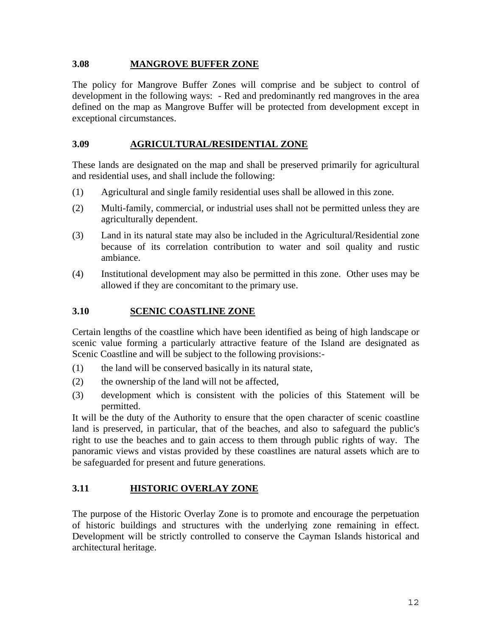#### **3.08 MANGROVE BUFFER ZONE**

The policy for Mangrove Buffer Zones will comprise and be subject to control of development in the following ways: - Red and predominantly red mangroves in the area defined on the map as Mangrove Buffer will be protected from development except in exceptional circumstances.

#### **3.09 AGRICULTURAL/RESIDENTIAL ZONE**

These lands are designated on the map and shall be preserved primarily for agricultural and residential uses, and shall include the following:

- (1) Agricultural and single family residential uses shall be allowed in this zone.
- (2) Multi-family, commercial, or industrial uses shall not be permitted unless they are agriculturally dependent.
- (3) Land in its natural state may also be included in the Agricultural/Residential zone because of its correlation contribution to water and soil quality and rustic ambiance.
- (4) Institutional development may also be permitted in this zone. Other uses may be allowed if they are concomitant to the primary use.

#### **3.10 SCENIC COASTLINE ZONE**

Certain lengths of the coastline which have been identified as being of high landscape or scenic value forming a particularly attractive feature of the Island are designated as Scenic Coastline and will be subject to the following provisions:-

- (1) the land will be conserved basically in its natural state,
- (2) the ownership of the land will not be affected,
- (3) development which is consistent with the policies of this Statement will be permitted.

It will be the duty of the Authority to ensure that the open character of scenic coastline land is preserved, in particular, that of the beaches, and also to safeguard the public's right to use the beaches and to gain access to them through public rights of way. The panoramic views and vistas provided by these coastlines are natural assets which are to be safeguarded for present and future generations.

#### **3.11 HISTORIC OVERLAY ZONE**

The purpose of the Historic Overlay Zone is to promote and encourage the perpetuation of historic buildings and structures with the underlying zone remaining in effect. Development will be strictly controlled to conserve the Cayman Islands historical and architectural heritage.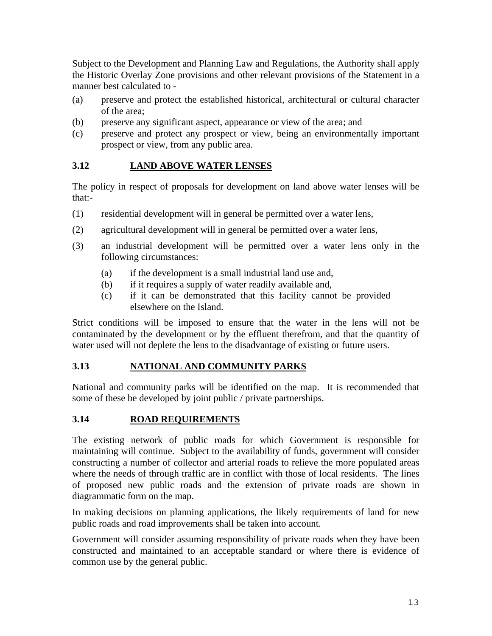Subject to the Development and Planning Law and Regulations, the Authority shall apply the Historic Overlay Zone provisions and other relevant provisions of the Statement in a manner best calculated to -

- (a) preserve and protect the established historical, architectural or cultural character of the area;
- (b) preserve any significant aspect, appearance or view of the area; and
- (c) preserve and protect any prospect or view, being an environmentally important prospect or view, from any public area.

#### **3.12 LAND ABOVE WATER LENSES**

The policy in respect of proposals for development on land above water lenses will be that:-

- (1) residential development will in general be permitted over a water lens,
- (2) agricultural development will in general be permitted over a water lens,
- (3) an industrial development will be permitted over a water lens only in the following circumstances:
	- (a) if the development is a small industrial land use and,
	- (b) if it requires a supply of water readily available and,
	- (c) if it can be demonstrated that this facility cannot be provided elsewhere on the Island.

Strict conditions will be imposed to ensure that the water in the lens will not be contaminated by the development or by the effluent therefrom, and that the quantity of water used will not deplete the lens to the disadvantage of existing or future users.

#### **3.13 NATIONAL AND COMMUNITY PARKS**

National and community parks will be identified on the map. It is recommended that some of these be developed by joint public / private partnerships.

#### **3.14 ROAD REQUIREMENTS**

The existing network of public roads for which Government is responsible for maintaining will continue. Subject to the availability of funds, government will consider constructing a number of collector and arterial roads to relieve the more populated areas where the needs of through traffic are in conflict with those of local residents. The lines of proposed new public roads and the extension of private roads are shown in diagrammatic form on the map.

In making decisions on planning applications, the likely requirements of land for new public roads and road improvements shall be taken into account.

Government will consider assuming responsibility of private roads when they have been constructed and maintained to an acceptable standard or where there is evidence of common use by the general public.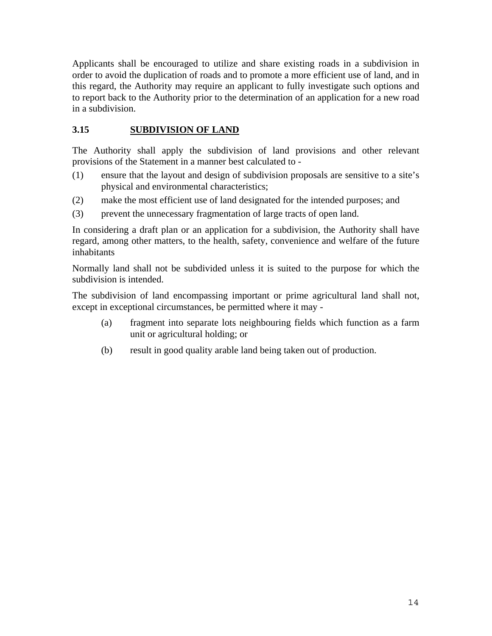Applicants shall be encouraged to utilize and share existing roads in a subdivision in order to avoid the duplication of roads and to promote a more efficient use of land, and in this regard, the Authority may require an applicant to fully investigate such options and to report back to the Authority prior to the determination of an application for a new road in a subdivision.

#### **3.15 SUBDIVISION OF LAND**

The Authority shall apply the subdivision of land provisions and other relevant provisions of the Statement in a manner best calculated to -

- (1) ensure that the layout and design of subdivision proposals are sensitive to a site's physical and environmental characteristics;
- (2) make the most efficient use of land designated for the intended purposes; and
- (3) prevent the unnecessary fragmentation of large tracts of open land.

In considering a draft plan or an application for a subdivision, the Authority shall have regard, among other matters, to the health, safety, convenience and welfare of the future inhabitants

Normally land shall not be subdivided unless it is suited to the purpose for which the subdivision is intended.

The subdivision of land encompassing important or prime agricultural land shall not, except in exceptional circumstances, be permitted where it may -

- (a) fragment into separate lots neighbouring fields which function as a farm unit or agricultural holding; or
- (b) result in good quality arable land being taken out of production.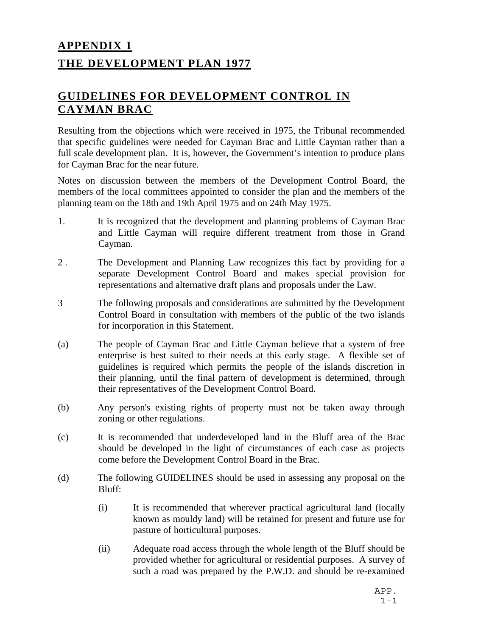# **APPENDIX 1 THE DEVELOPMENT PLAN 1977**

### **GUIDELINES FOR DEVELOPMENT CONTROL IN CAYMAN BRAC**

Resulting from the objections which were received in 1975, the Tribunal recommended that specific guidelines were needed for Cayman Brac and Little Cayman rather than a full scale development plan. It is, however, the Government's intention to produce plans for Cayman Brac for the near future*.*

Notes on discussion between the members of the Development Control Board, the members of the local committees appointed to consider the plan and the members of the planning team on the 18th and 19th April 1975 and on 24th May 1975.

- 1. It is recognized that the development and planning problems of Cayman Brac and Little Cayman will require different treatment from those in Grand Cayman.
- 2 . The Development and Planning Law recognizes this fact by providing for a separate Development Control Board and makes special provision for representations and alternative draft plans and proposals under the Law.
- 3 The following proposals and considerations are submitted by the Development Control Board in consultation with members of the public of the two islands for incorporation in this Statement.
- (a) The people of Cayman Brac and Little Cayman believe that a system of free enterprise is best suited to their needs at this early stage. A flexible set of guidelines is required which permits the people of the islands discretion in their planning, until the final pattern of development is determined, through their representatives of the Development Control Board.
- (b) Any person's existing rights of property must not be taken away through zoning or other regulations.
- (c) It is recommended that underdeveloped land in the Bluff area of the Brac should be developed in the light of circumstances of each case as projects come before the Development Control Board in the Brac.
- (d) The following GUIDELINES should be used in assessing any proposal on the Bluff:
	- (i) It is recommended that wherever practical agricultural land (locally known as mouldy land) will be retained for present and future use for pasture of horticultural purposes.
	- (ii) Adequate road access through the whole length of the Bluff should be provided whether for agricultural or residential purposes. A survey of such a road was prepared by the P.W.D. and should be re-examined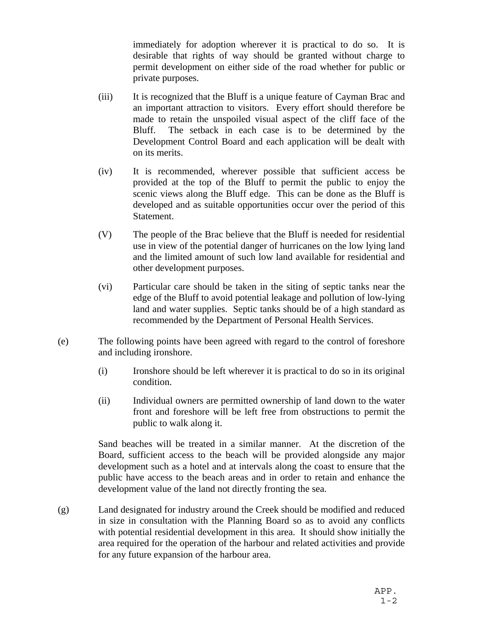immediately for adoption wherever it is practical to do so. It is desirable that rights of way should be granted without charge to permit development on either side of the road whether for public or private purposes.

- (iii) It is recognized that the Bluff is a unique feature of Cayman Brac and an important attraction to visitors. Every effort should therefore be made to retain the unspoiled visual aspect of the cliff face of the Bluff. The setback in each case is to be determined by the Development Control Board and each application will be dealt with on its merits.
- (iv) It is recommended, wherever possible that sufficient access be provided at the top of the Bluff to permit the public to enjoy the scenic views along the Bluff edge. This can be done as the Bluff is developed and as suitable opportunities occur over the period of this Statement.
- (V) The people of the Brac believe that the Bluff is needed for residential use in view of the potential danger of hurricanes on the low lying land and the limited amount of such low land available for residential and other development purposes.
- (vi) Particular care should be taken in the siting of septic tanks near the edge of the Bluff to avoid potential leakage and pollution of low-lying land and water supplies. Septic tanks should be of a high standard as recommended by the Department of Personal Health Services.
- (e) The following points have been agreed with regard to the control of foreshore and including ironshore.
	- (i) Ironshore should be left wherever it is practical to do so in its original condition.
	- (ii) Individual owners are permitted ownership of land down to the water front and foreshore will be left free from obstructions to permit the public to walk along it.

Sand beaches will be treated in a similar manner. At the discretion of the Board, sufficient access to the beach will be provided alongside any major development such as a hotel and at intervals along the coast to ensure that the public have access to the beach areas and in order to retain and enhance the development value of the land not directly fronting the sea.

(g) Land designated for industry around the Creek should be modified and reduced in size in consultation with the Planning Board so as to avoid any conflicts with potential residential development in this area. It should show initially the area required for the operation of the harbour and related activities and provide for any future expansion of the harbour area.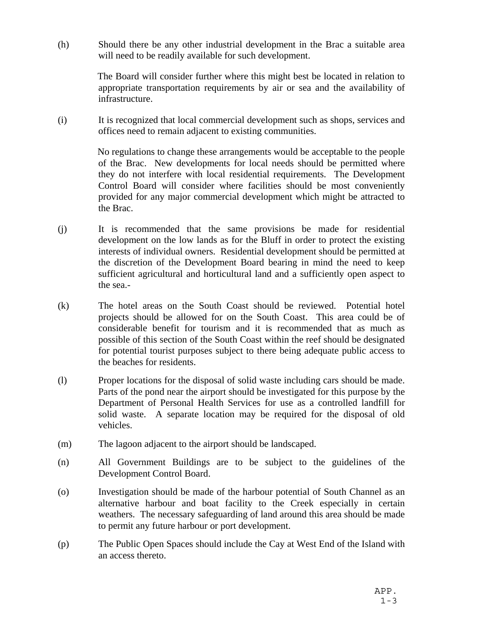(h) Should there be any other industrial development in the Brac a suitable area will need to be readily available for such development.

> The Board will consider further where this might best be located in relation to appropriate transportation requirements by air or sea and the availability of infrastructure.

(i) It is recognized that local commercial development such as shops, services and offices need to remain adjacent to existing communities.

> No regulations to change these arrangements would be acceptable to the people of the Brac. New developments for local needs should be permitted where they do not interfere with local residential requirements. The Development Control Board will consider where facilities should be most conveniently provided for any major commercial development which might be attracted to the Brac.

- (j) It is recommended that the same provisions be made for residential development on the low lands as for the Bluff in order to protect the existing interests of individual owners. Residential development should be permitted at the discretion of the Development Board bearing in mind the need to keep sufficient agricultural and horticultural land and a sufficiently open aspect to the sea.-
- (k) The hotel areas on the South Coast should be reviewed. Potential hotel projects should be allowed for on the South Coast. This area could be of considerable benefit for tourism and it is recommended that as much as possible of this section of the South Coast within the reef should be designated for potential tourist purposes subject to there being adequate public access to the beaches for residents.
- (l) Proper locations for the disposal of solid waste including cars should be made. Parts of the pond near the airport should be investigated for this purpose by the Department of Personal Health Services for use as a controlled landfill for solid waste. A separate location may be required for the disposal of old vehicles.
- (m) The lagoon adjacent to the airport should be landscaped.
- (n) All Government Buildings are to be subject to the guidelines of the Development Control Board.
- (o) Investigation should be made of the harbour potential of South Channel as an alternative harbour and boat facility to the Creek especially in certain weathers. The necessary safeguarding of land around this area should be made to permit any future harbour or port development.
- (p) The Public Open Spaces should include the Cay at West End of the Island with an access thereto.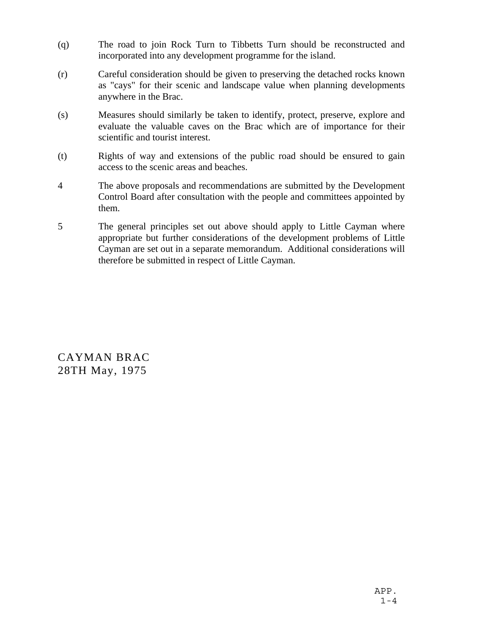- (q) The road to join Rock Turn to Tibbetts Turn should be reconstructed and incorporated into any development programme for the island.
- (r) Careful consideration should be given to preserving the detached rocks known as "cays" for their scenic and landscape value when planning developments anywhere in the Brac.
- (s) Measures should similarly be taken to identify, protect, preserve, explore and evaluate the valuable caves on the Brac which are of importance for their scientific and tourist interest.
- (t) Rights of way and extensions of the public road should be ensured to gain access to the scenic areas and beaches.
- 4 The above proposals and recommendations are submitted by the Development Control Board after consultation with the people and committees appointed by them.
- 5 The general principles set out above should apply to Little Cayman where appropriate but further considerations of the development problems of Little Cayman are set out in a separate memorandum. Additional considerations will therefore be submitted in respect of Little Cayman.

CAYMAN BRAC 28TH May, 1975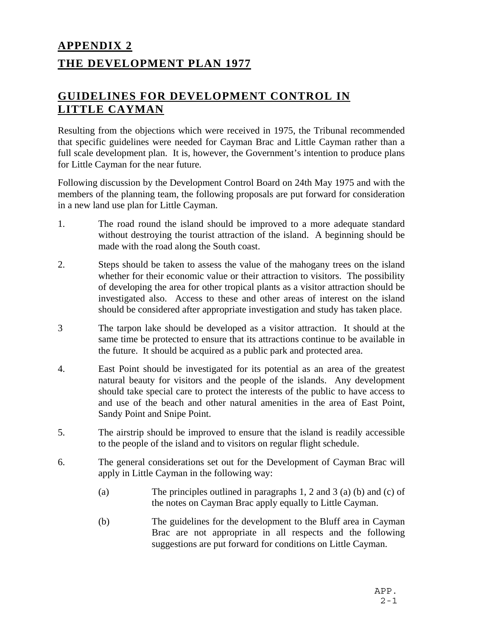# **APPENDIX 2 THE DEVELOPMENT PLAN 1977**

### **GUIDELINES FOR DEVELOPMENT CONTROL IN LITTLE CAYMAN**

Resulting from the objections which were received in 1975, the Tribunal recommended that specific guidelines were needed for Cayman Brac and Little Cayman rather than a full scale development plan. It is, however, the Government's intention to produce plans for Little Cayman for the near future*.*

Following discussion by the Development Control Board on 24th May 1975 and with the members of the planning team, the following proposals are put forward for consideration in a new land use plan for Little Cayman.

- 1. The road round the island should be improved to a more adequate standard without destroying the tourist attraction of the island. A beginning should be made with the road along the South coast.
- 2. Steps should be taken to assess the value of the mahogany trees on the island whether for their economic value or their attraction to visitors. The possibility of developing the area for other tropical plants as a visitor attraction should be investigated also. Access to these and other areas of interest on the island should be considered after appropriate investigation and study has taken place.
- 3 The tarpon lake should be developed as a visitor attraction. It should at the same time be protected to ensure that its attractions continue to be available in the future. It should be acquired as a public park and protected area.
- 4. East Point should be investigated for its potential as an area of the greatest natural beauty for visitors and the people of the islands. Any development should take special care to protect the interests of the public to have access to and use of the beach and other natural amenities in the area of East Point, Sandy Point and Snipe Point.
- 5. The airstrip should be improved to ensure that the island is readily accessible to the people of the island and to visitors on regular flight schedule.
- 6. The general considerations set out for the Development of Cayman Brac will apply in Little Cayman in the following way:
	- (a) The principles outlined in paragraphs 1, 2 and 3 (a) (b) and (c) of the notes on Cayman Brac apply equally to Little Cayman.
	- (b) The guidelines for the development to the Bluff area in Cayman Brac are not appropriate in all respects and the following suggestions are put forward for conditions on Little Cayman.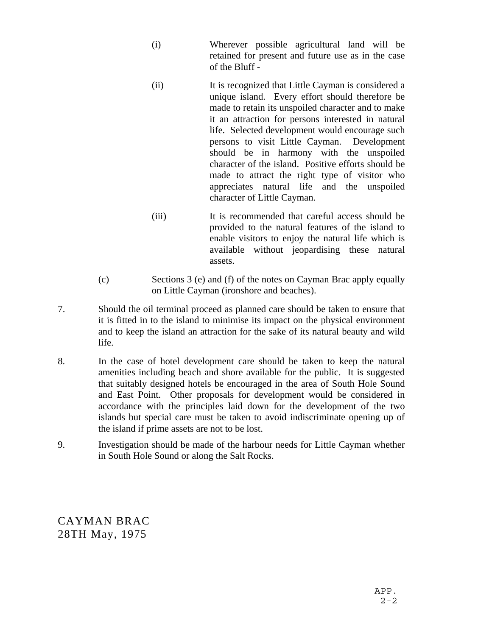- (i) Wherever possible agricultural land will be retained for present and future use as in the case of the Bluff -
- (ii) It is recognized that Little Cayman is considered a unique island. Every effort should therefore be made to retain its unspoiled character and to make it an attraction for persons interested in natural life. Selected development would encourage such persons to visit Little Cayman. Development should be in harmony with the unspoiled character of the island. Positive efforts should be made to attract the right type of visitor who appreciates natural life and the unspoiled character of Little Cayman.
- (iii) It is recommended that careful access should be provided to the natural features of the island to enable visitors to enjoy the natural life which is available without jeopardising these natural assets.
- (c) Sections 3 (e) and (f) of the notes on Cayman Brac apply equally on Little Cayman (ironshore and beaches).
- 7. Should the oil terminal proceed as planned care should be taken to ensure that it is fitted in to the island to minimise its impact on the physical environment and to keep the island an attraction for the sake of its natural beauty and wild life.
- 8. In the case of hotel development care should be taken to keep the natural amenities including beach and shore available for the public. It is suggested that suitably designed hotels be encouraged in the area of South Hole Sound and East Point. Other proposals for development would be considered in accordance with the principles laid down for the development of the two islands but special care must be taken to avoid indiscriminate opening up of the island if prime assets are not to be lost.
- 9. Investigation should be made of the harbour needs for Little Cayman whether in South Hole Sound or along the Salt Rocks.

CAYMAN BRAC 28TH May, 1975